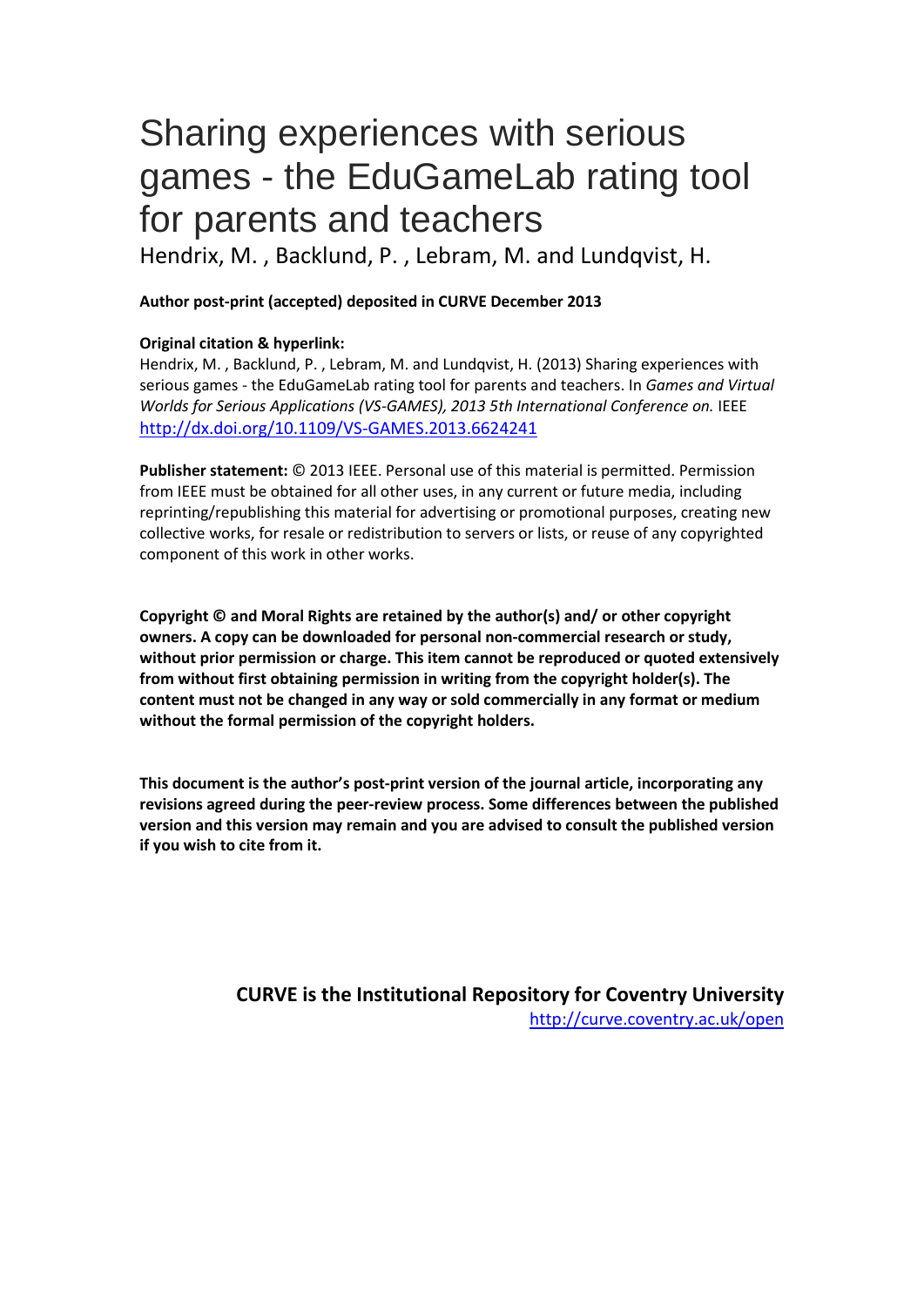# Sharing experiences with serious games - the EduGameLab rating tool for parents and teachers

Hendrix, M. , Backlund, P. , Lebram, M. and Lundqvist, H.

## **Author post-print (accepted) deposited in CURVE December 2013**

## **Original citation & hyperlink:**

Hendrix, M. , Backlund, P. , Lebram, M. and Lundqvist, H. (2013) Sharing experiences with serious games - the EduGameLab rating tool for parents and teachers. In *Games and Virtual Worlds for Serious Applications (VS-GAMES), 2013 5th International Conference on.* IEEE <http://dx.doi.org/10.1109/VS-GAMES.2013.6624241>

**Publisher statement:** © 2013 IEEE. Personal use of this material is permitted. Permission from IEEE must be obtained for all other uses, in any current or future media, including reprinting/republishing this material for advertising or promotional purposes, creating new collective works, for resale or redistribution to servers or lists, or reuse of any copyrighted component of this work in other works.

**Copyright © and Moral Rights are retained by the author(s) and/ or other copyright owners. A copy can be downloaded for personal non-commercial research or study, without prior permission or charge. This item cannot be reproduced or quoted extensively from without first obtaining permission in writing from the copyright holder(s). The content must not be changed in any way or sold commercially in any format or medium without the formal permission of the copyright holders.** 

**This document is the author's post-print version of the journal article, incorporating any revisions agreed during the peer-review process. Some differences between the published version and this version may remain and you are advised to consult the published version if you wish to cite from it.** 

> **CURVE is the Institutional Repository for Coventry University** <http://curve.coventry.ac.uk/open>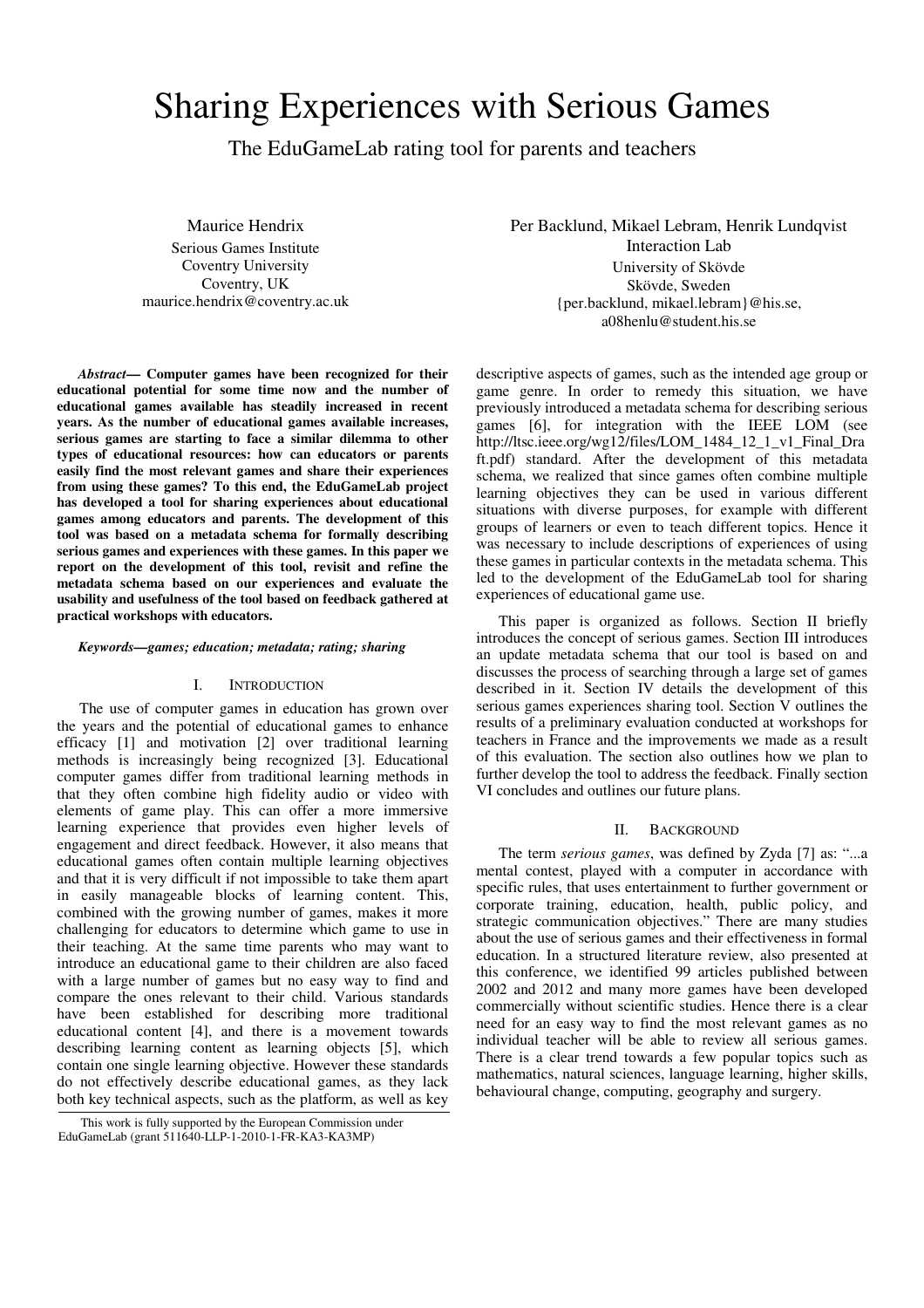# Sharing Experiences with Serious Games

The EduGameLab rating tool for parents and teachers

Maurice Hendrix Serious Games Institute Coventry University Coventry, UK maurice.hendrix@coventry.ac.uk

*Abstract***— Computer games have been recognized for their educational potential for some time now and the number of educational games available has steadily increased in recent years. As the number of educational games available increases, serious games are starting to face a similar dilemma to other types of educational resources: how can educators or parents easily find the most relevant games and share their experiences from using these games? To this end, the EduGameLab project has developed a tool for sharing experiences about educational games among educators and parents. The development of this tool was based on a metadata schema for formally describing serious games and experiences with these games. In this paper we report on the development of this tool, revisit and refine the metadata schema based on our experiences and evaluate the usability and usefulness of the tool based on feedback gathered at practical workshops with educators.** 

#### *Keywords—games; education; metadata; rating; sharing*

#### I. INTRODUCTION

The use of computer games in education has grown over the years and the potential of educational games to enhance efficacy [1] and motivation [2] over traditional learning methods is increasingly being recognized [3]. Educational computer games differ from traditional learning methods in that they often combine high fidelity audio or video with elements of game play. This can offer a more immersive learning experience that provides even higher levels of engagement and direct feedback. However, it also means that educational games often contain multiple learning objectives and that it is very difficult if not impossible to take them apart in easily manageable blocks of learning content. This, combined with the growing number of games, makes it more challenging for educators to determine which game to use in their teaching. At the same time parents who may want to introduce an educational game to their children are also faced with a large number of games but no easy way to find and compare the ones relevant to their child. Various standards have been established for describing more traditional educational content [4], and there is a movement towards describing learning content as learning objects [5], which contain one single learning objective. However these standards do not effectively describe educational games, as they lack both key technical aspects, such as the platform, as well as key Per Backlund, Mikael Lebram, Henrik Lundqvist Interaction Lab University of Skövde Skövde, Sweden {per.backlund, mikael.lebram}@his.se, a08henlu@student.his.se

descriptive aspects of games, such as the intended age group or game genre. In order to remedy this situation, we have previously introduced a metadata schema for describing serious games [6], for integration with the IEEE LOM (see http://ltsc.ieee.org/wg12/files/LOM\_1484\_12\_1\_v1\_Final\_Dra ft.pdf) standard. After the development of this metadata schema, we realized that since games often combine multiple learning objectives they can be used in various different situations with diverse purposes, for example with different groups of learners or even to teach different topics. Hence it was necessary to include descriptions of experiences of using these games in particular contexts in the metadata schema. This led to the development of the EduGameLab tool for sharing experiences of educational game use.

This paper is organized as follows. Section II briefly introduces the concept of serious games. Section III introduces an update metadata schema that our tool is based on and discusses the process of searching through a large set of games described in it. Section IV details the development of this serious games experiences sharing tool. Section V outlines the results of a preliminary evaluation conducted at workshops for teachers in France and the improvements we made as a result of this evaluation. The section also outlines how we plan to further develop the tool to address the feedback. Finally section VI concludes and outlines our future plans.

#### II. BACKGROUND

The term *serious games*, was defined by Zyda [7] as: "...a mental contest, played with a computer in accordance with specific rules, that uses entertainment to further government or corporate training, education, health, public policy, and strategic communication objectives." There are many studies about the use of serious games and their effectiveness in formal education. In a structured literature review, also presented at this conference, we identified 99 articles published between 2002 and 2012 and many more games have been developed commercially without scientific studies. Hence there is a clear need for an easy way to find the most relevant games as no individual teacher will be able to review all serious games. There is a clear trend towards a few popular topics such as mathematics, natural sciences, language learning, higher skills, behavioural change, computing, geography and surgery.

This work is fully supported by the European Commission under EduGameLab (grant 511640-LLP-1-2010-1-FR-KA3-KA3MP)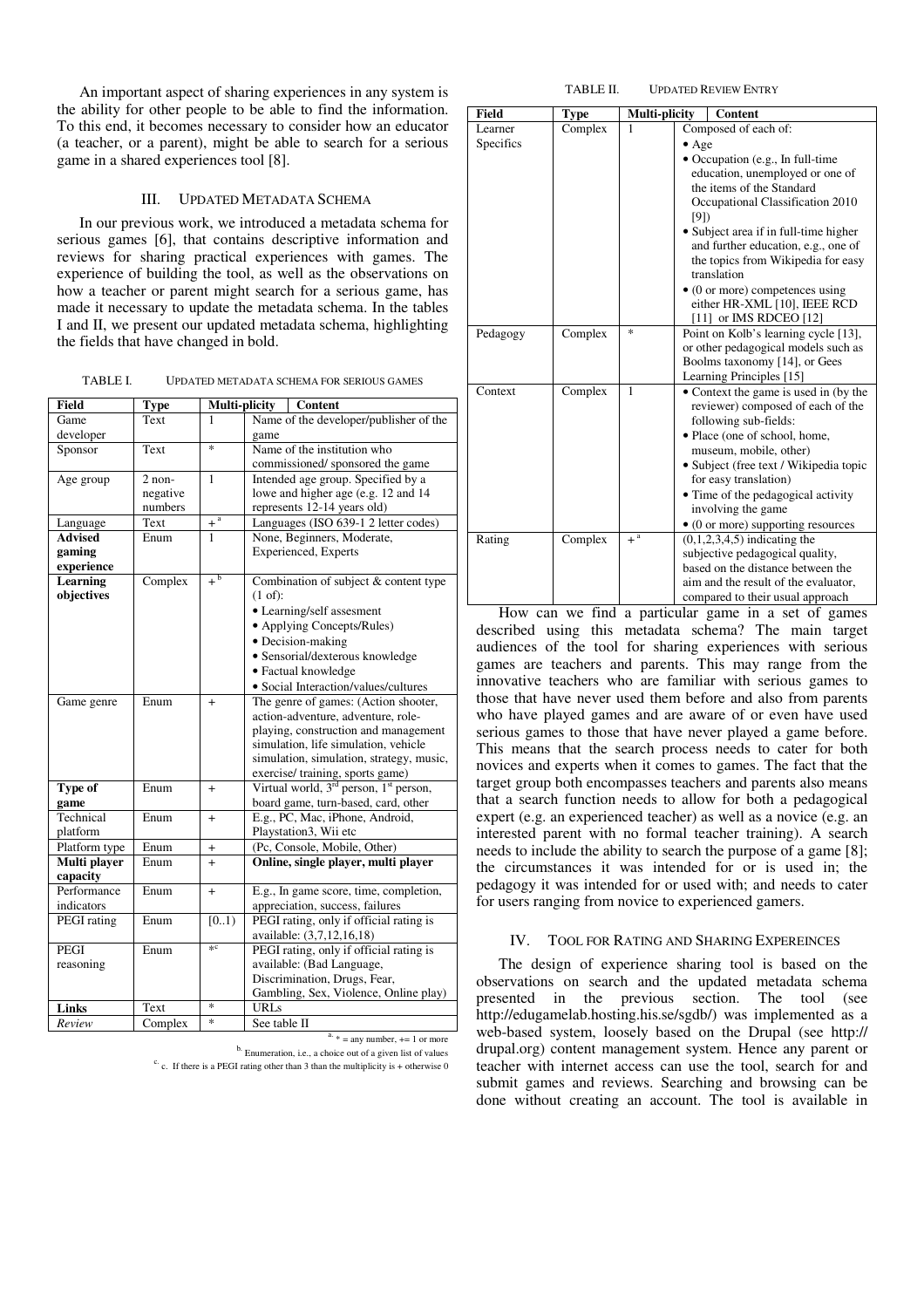An important aspect of sharing experiences in any system is the ability for other people to be able to find the information. To this end, it becomes necessary to consider how an educator (a teacher, or a parent), might be able to search for a serious game in a shared experiences tool [8].

#### III. UPDATED METADATA SCHEMA

In our previous work, we introduced a metadata schema for serious games [6], that contains descriptive information and reviews for sharing practical experiences with games. The experience of building the tool, as well as the observations on how a teacher or parent might search for a serious game, has made it necessary to update the metadata schema. In the tables I and II, we present our updated metadata schema, highlighting the fields that have changed in bold.

| TABLE L | UPDATED METADATA SCHEMA FOR SERIOUS GAMES |  |
|---------|-------------------------------------------|--|
|---------|-------------------------------------------|--|

| Field          | <b>Type</b> | Multi-plicity    |                                            | <b>Content</b>                          |  |
|----------------|-------------|------------------|--------------------------------------------|-----------------------------------------|--|
| Game           | Text        | 1                |                                            | Name of the developer/publisher of the  |  |
| developer      |             |                  | game                                       |                                         |  |
| Sponsor        | Text        | $\ast$           | Name of the institution who                |                                         |  |
|                |             |                  | commissioned/sponsored the game            |                                         |  |
| Age group      | $2$ non-    | 1                | Intended age group. Specified by a         |                                         |  |
|                | negative    |                  | lowe and higher age (e.g. 12 and 14        |                                         |  |
|                | numbers     |                  | represents 12-14 years old)                |                                         |  |
| Language       | Text        | $+$ <sup>a</sup> |                                            | Languages (ISO 639-1 2 letter codes)    |  |
| <b>Advised</b> | Enum        | 1                | None, Beginners, Moderate,                 |                                         |  |
| gaming         |             |                  |                                            | <b>Experienced</b> , Experts            |  |
| experience     |             |                  |                                            |                                         |  |
| Learning       | Complex     | $+$ <sub>p</sub> |                                            | Combination of subject & content type   |  |
| objectives     |             |                  | $(1 \text{ of})$ :                         |                                         |  |
|                |             |                  |                                            | • Learning/self assesment               |  |
|                |             |                  |                                            | • Applying Concepts/Rules)              |  |
|                |             |                  |                                            | • Decision-making                       |  |
|                |             |                  |                                            | • Sensorial/dexterous knowledge         |  |
|                |             |                  |                                            | • Factual knowledge                     |  |
|                |             |                  | • Social Interaction/values/cultures       |                                         |  |
| Game genre     | Enum        | $+$              | The genre of games: (Action shooter,       |                                         |  |
|                |             |                  |                                            | action-adventure, adventure, role-      |  |
|                |             |                  |                                            | playing, construction and management    |  |
|                |             |                  | simulation, life simulation, vehicle       |                                         |  |
|                |             |                  | simulation, simulation, strategy, music,   |                                         |  |
|                |             |                  | exercise/ training, sports game)           |                                         |  |
| Type of        | Enum        | $+$              | Virtual world, $3rd$ person, $1st$ person, |                                         |  |
| game           |             |                  | board game, turn-based, card, other        |                                         |  |
| Technical      | Enum        | $+$              | E.g., PC, Mac, iPhone, Android,            |                                         |  |
| platform       |             |                  | Playstation3, Wii etc                      |                                         |  |
| Platform type  | Enum        | $\ddot{}$        | (Pc, Console, Mobile, Other)               |                                         |  |
| Multi player   | $E$ num     | $+$              |                                            | Online, single player, multi player     |  |
| capacity       |             |                  |                                            |                                         |  |
| Performance    | Enum        | $+$              |                                            | E.g., In game score, time, completion,  |  |
| indicators     |             |                  | appreciation, success, failures            |                                         |  |
| PEGI rating    | Enum        | [0.1)            |                                            | PEGI rating, only if official rating is |  |
|                |             |                  |                                            | available: (3,7,12,16,18)               |  |
| <b>PEGI</b>    | Enum        | жC               |                                            | PEGI rating, only if official rating is |  |
| reasoning      |             |                  | available: (Bad Language,                  |                                         |  |
|                |             |                  |                                            | Discrimination, Drugs, Fear,            |  |
|                |             |                  |                                            | Gambling, Sex, Violence, Online play)   |  |
| <b>Links</b>   | Text        | $\ast$           | URLs                                       |                                         |  |
| Review         | Complex     | $\ast$           | See table II                               |                                         |  |

 $* =$  any number,  $+= 1$  or more

| <sup>b.</sup> Enumeration, i.e., a choice out of a given list of values |  |  |  |  |
|-------------------------------------------------------------------------|--|--|--|--|
|                                                                         |  |  |  |  |

<sup>c.</sup> c. If there is a PEGI rating other than 3 than the multiplicity is  $+$  otherwise 0

| <b>Field</b> | <b>Type</b> | Multi-plicity    |                                       | <b>Content</b>                             |  |
|--------------|-------------|------------------|---------------------------------------|--------------------------------------------|--|
| Learner      | Complex     | 1                |                                       | Composed of each of:                       |  |
| Specifics    |             |                  | $\bullet$ Age                         |                                            |  |
|              |             |                  | • Occupation (e.g., In full-time)     |                                            |  |
|              |             |                  | education, unemployed or one of       |                                            |  |
|              |             |                  | the items of the Standard             |                                            |  |
|              |             |                  | Occupational Classification 2010      |                                            |  |
|              |             |                  | [9]                                   |                                            |  |
|              |             |                  | • Subject area if in full-time higher |                                            |  |
|              |             |                  | and further education, e.g., one of   |                                            |  |
|              |             |                  |                                       | the topics from Wikipedia for easy         |  |
|              |             |                  |                                       | translation                                |  |
|              |             |                  |                                       | $\bullet$ (0 or more) competences using    |  |
|              |             |                  |                                       | either HR-XML [10], IEEE RCD               |  |
|              |             |                  |                                       | $[11]$ or IMS RDCEO $[12]$                 |  |
| Pedagogy     | Complex     | $\ast$           |                                       | Point on Kolb's learning cycle [13],       |  |
|              |             |                  |                                       | or other pedagogical models such as        |  |
|              |             |                  |                                       | Boolms taxonomy [14], or Gees              |  |
|              |             |                  |                                       | Learning Principles [15]                   |  |
| Context      | Complex     | $\mathbf{1}$     |                                       | • Context the game is used in (by the      |  |
|              |             |                  |                                       | reviewer) composed of each of the          |  |
|              |             |                  | following sub-fields:                 |                                            |  |
|              |             |                  | • Place (one of school, home,         |                                            |  |
|              |             |                  |                                       | museum, mobile, other)                     |  |
|              |             |                  |                                       | · Subject (free text / Wikipedia topic     |  |
|              |             |                  |                                       | for easy translation)                      |  |
|              |             |                  |                                       | • Time of the pedagogical activity         |  |
|              |             |                  |                                       | involving the game                         |  |
|              |             |                  |                                       | $\bullet$ (0 or more) supporting resources |  |
| Rating       | Complex     | $+$ <sup>a</sup> |                                       | $(0,1,2,3,4,5)$ indicating the             |  |
|              |             |                  |                                       | subjective pedagogical quality,            |  |
|              |             |                  |                                       | based on the distance between the          |  |
|              |             |                  |                                       | aim and the result of the evaluator,       |  |
|              |             |                  |                                       | compared to their usual approach           |  |

How can we find a particular game in a set of games described using this metadata schema? The main target audiences of the tool for sharing experiences with serious games are teachers and parents. This may range from the innovative teachers who are familiar with serious games to those that have never used them before and also from parents who have played games and are aware of or even have used serious games to those that have never played a game before. This means that the search process needs to cater for both novices and experts when it comes to games. The fact that the target group both encompasses teachers and parents also means that a search function needs to allow for both a pedagogical expert (e.g. an experienced teacher) as well as a novice (e.g. an interested parent with no formal teacher training). A search needs to include the ability to search the purpose of a game [8]; the circumstances it was intended for or is used in; the pedagogy it was intended for or used with; and needs to cater for users ranging from novice to experienced gamers.

#### IV. TOOL FOR RATING AND SHARING EXPEREINCES

The design of experience sharing tool is based on the observations on search and the updated metadata schema presented in the previous section. The tool (see http://edugamelab.hosting.his.se/sgdb/) was implemented as a web-based system, loosely based on the Drupal (see http:// drupal.org) content management system. Hence any parent or teacher with internet access can use the tool, search for and submit games and reviews. Searching and browsing can be done without creating an account. The tool is available in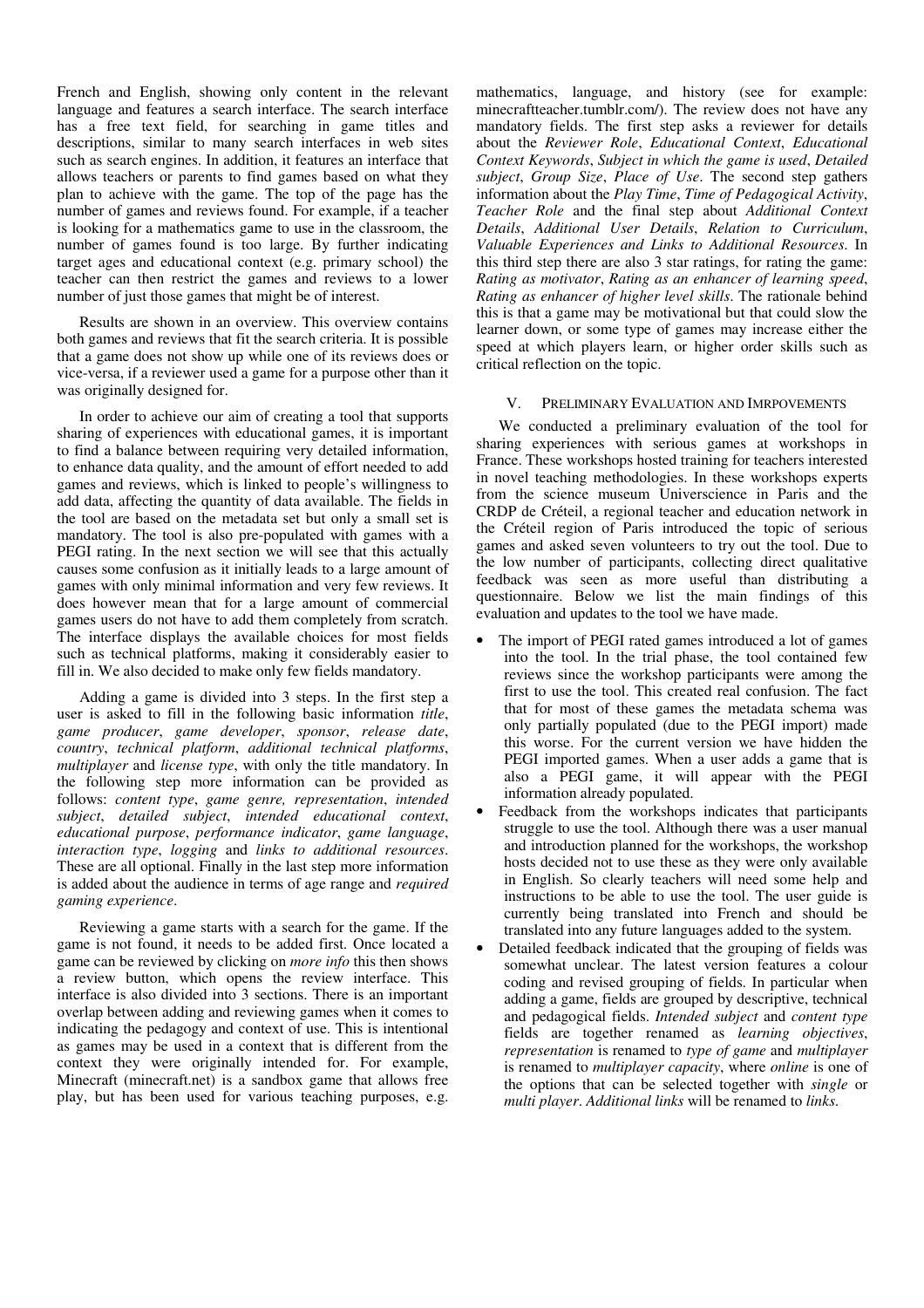French and English, showing only content in the relevant language and features a search interface. The search interface has a free text field, for searching in game titles and descriptions, similar to many search interfaces in web sites such as search engines. In addition, it features an interface that allows teachers or parents to find games based on what they plan to achieve with the game. The top of the page has the number of games and reviews found. For example, if a teacher is looking for a mathematics game to use in the classroom, the number of games found is too large. By further indicating target ages and educational context (e.g. primary school) the teacher can then restrict the games and reviews to a lower number of just those games that might be of interest.

Results are shown in an overview. This overview contains both games and reviews that fit the search criteria. It is possible that a game does not show up while one of its reviews does or vice-versa, if a reviewer used a game for a purpose other than it was originally designed for.

In order to achieve our aim of creating a tool that supports sharing of experiences with educational games, it is important to find a balance between requiring very detailed information, to enhance data quality, and the amount of effort needed to add games and reviews, which is linked to people's willingness to add data, affecting the quantity of data available. The fields in the tool are based on the metadata set but only a small set is mandatory. The tool is also pre-populated with games with a PEGI rating. In the next section we will see that this actually causes some confusion as it initially leads to a large amount of games with only minimal information and very few reviews. It does however mean that for a large amount of commercial games users do not have to add them completely from scratch. The interface displays the available choices for most fields such as technical platforms, making it considerably easier to fill in. We also decided to make only few fields mandatory.

Adding a game is divided into 3 steps. In the first step a user is asked to fill in the following basic information *title*, *game producer*, *game developer*, *sponsor*, *release date*, *country*, *technical platform*, *additional technical platforms*, *multiplayer* and *license type*, with only the title mandatory. In the following step more information can be provided as follows: *content type*, *game genre, representation*, *intended subject*, *detailed subject*, *intended educational context*, *educational purpose*, *performance indicator*, *game language*, *interaction type*, *logging* and *links to additional resources*. These are all optional. Finally in the last step more information is added about the audience in terms of age range and *required gaming experience*.

Reviewing a game starts with a search for the game. If the game is not found, it needs to be added first. Once located a game can be reviewed by clicking on *more info* this then shows a review button, which opens the review interface. This interface is also divided into 3 sections. There is an important overlap between adding and reviewing games when it comes to indicating the pedagogy and context of use. This is intentional as games may be used in a context that is different from the context they were originally intended for. For example, Minecraft (minecraft.net) is a sandbox game that allows free play, but has been used for various teaching purposes, e.g.

mathematics, language, and history (see for example: minecraftteacher.tumblr.com/). The review does not have any mandatory fields. The first step asks a reviewer for details about the *Reviewer Role*, *Educational Context*, *Educational Context Keywords*, *Subject in which the game is used*, *Detailed subject*, *Group Size*, *Place of Use*. The second step gathers information about the *Play Time*, *Time of Pedagogical Activity*, *Teacher Role* and the final step about *Additional Context Details*, *Additional User Details*, *Relation to Curriculum*, *Valuable Experiences and Links to Additional Resources*. In this third step there are also 3 star ratings, for rating the game: *Rating as motivator*, *Rating as an enhancer of learning speed*, *Rating as enhancer of higher level skills*. The rationale behind this is that a game may be motivational but that could slow the learner down, or some type of games may increase either the speed at which players learn, or higher order skills such as critical reflection on the topic.

#### V. PRELIMINARY EVALUATION AND IMRPOVEMENTS

We conducted a preliminary evaluation of the tool for sharing experiences with serious games at workshops in France. These workshops hosted training for teachers interested in novel teaching methodologies. In these workshops experts from the science museum Universcience in Paris and the CRDP de Créteil, a regional teacher and education network in the Créteil region of Paris introduced the topic of serious games and asked seven volunteers to try out the tool. Due to the low number of participants, collecting direct qualitative feedback was seen as more useful than distributing a questionnaire. Below we list the main findings of this evaluation and updates to the tool we have made.

- The import of PEGI rated games introduced a lot of games into the tool. In the trial phase, the tool contained few reviews since the workshop participants were among the first to use the tool. This created real confusion. The fact that for most of these games the metadata schema was only partially populated (due to the PEGI import) made this worse. For the current version we have hidden the PEGI imported games. When a user adds a game that is also a PEGI game, it will appear with the PEGI information already populated.
- Feedback from the workshops indicates that participants struggle to use the tool. Although there was a user manual and introduction planned for the workshops, the workshop hosts decided not to use these as they were only available in English. So clearly teachers will need some help and instructions to be able to use the tool. The user guide is currently being translated into French and should be translated into any future languages added to the system.
- Detailed feedback indicated that the grouping of fields was somewhat unclear. The latest version features a colour coding and revised grouping of fields. In particular when adding a game, fields are grouped by descriptive, technical and pedagogical fields. *Intended subject* and *content type* fields are together renamed as *learning objectives*, *representation* is renamed to *type of game* and *multiplayer* is renamed to *multiplayer capacity*, where *online* is one of the options that can be selected together with *single* or *multi player*. *Additional links* will be renamed to *links*.